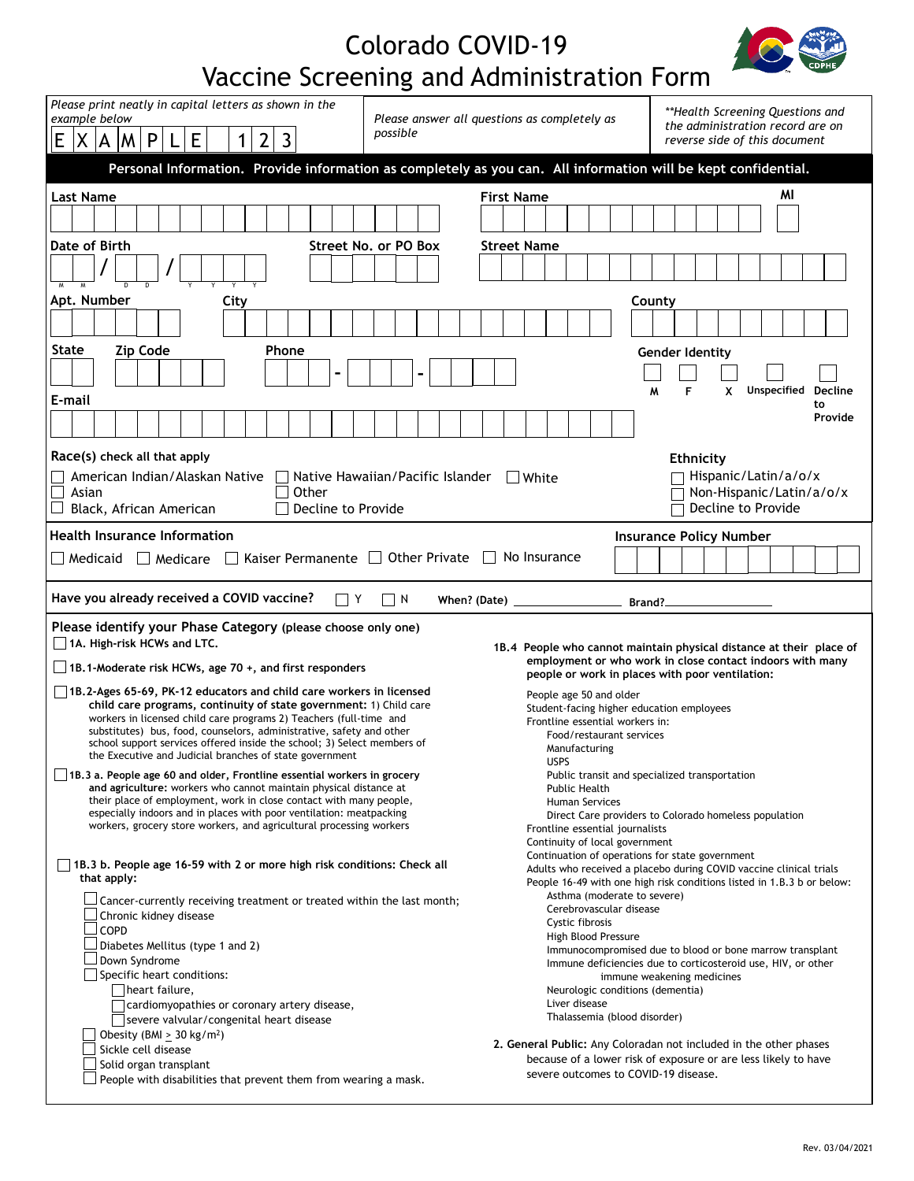## Colorado COVID-19 Vaccine Screening and Administration Form



| Please print neatly in capital letters as shown in the<br>example below                       |       |   |                        |                     | Please answer all questions as completely as |      |                |                                                                                                                                                 |       |           |                                  |  | **Health Screening Questions and<br>the administration record are on |  |  |                                                                                          |                                                             |                                                                     |             |                                            |  |  |  |        |        |   |                                                                                                                                              |  |   |  |  |             |    |                |  |  |
|-----------------------------------------------------------------------------------------------|-------|---|------------------------|---------------------|----------------------------------------------|------|----------------|-------------------------------------------------------------------------------------------------------------------------------------------------|-------|-----------|----------------------------------|--|----------------------------------------------------------------------|--|--|------------------------------------------------------------------------------------------|-------------------------------------------------------------|---------------------------------------------------------------------|-------------|--------------------------------------------|--|--|--|--------|--------|---|----------------------------------------------------------------------------------------------------------------------------------------------|--|---|--|--|-------------|----|----------------|--|--|
| E<br>χ                                                                                        | A     | M | $\mathsf{P}$           |                     | E                                            |      | $\overline{2}$ | 3                                                                                                                                               |       |           | possible                         |  |                                                                      |  |  |                                                                                          |                                                             |                                                                     |             |                                            |  |  |  |        |        |   | reverse side of this document                                                                                                                |  |   |  |  |             |    |                |  |  |
|                                                                                               |       |   |                        |                     |                                              |      |                | Personal Information. Provide information as completely as you can. All information will be kept confidential.                                  |       |           |                                  |  |                                                                      |  |  |                                                                                          |                                                             |                                                                     |             |                                            |  |  |  |        |        |   |                                                                                                                                              |  |   |  |  |             |    |                |  |  |
| <b>Last Name</b>                                                                              |       |   |                        |                     |                                              |      |                |                                                                                                                                                 |       |           |                                  |  |                                                                      |  |  | <b>First Name</b>                                                                        |                                                             |                                                                     |             |                                            |  |  |  |        |        |   |                                                                                                                                              |  |   |  |  | ΜI          |    |                |  |  |
|                                                                                               |       |   |                        |                     |                                              |      |                |                                                                                                                                                 |       |           |                                  |  |                                                                      |  |  |                                                                                          |                                                             |                                                                     |             |                                            |  |  |  |        |        |   |                                                                                                                                              |  |   |  |  |             |    |                |  |  |
| Date of Birth                                                                                 |       |   |                        |                     |                                              |      |                |                                                                                                                                                 |       |           | Street No. or PO Box             |  |                                                                      |  |  |                                                                                          |                                                             | <b>Street Name</b>                                                  |             |                                            |  |  |  |        |        |   |                                                                                                                                              |  |   |  |  |             |    |                |  |  |
|                                                                                               |       |   |                        |                     |                                              |      |                |                                                                                                                                                 |       |           |                                  |  |                                                                      |  |  |                                                                                          |                                                             |                                                                     |             |                                            |  |  |  |        |        |   |                                                                                                                                              |  |   |  |  |             |    |                |  |  |
|                                                                                               |       |   |                        |                     |                                              |      |                |                                                                                                                                                 |       |           |                                  |  |                                                                      |  |  |                                                                                          |                                                             |                                                                     |             |                                            |  |  |  |        |        |   |                                                                                                                                              |  |   |  |  |             |    |                |  |  |
| Apt. Number                                                                                   |       |   |                        |                     |                                              | City |                |                                                                                                                                                 |       |           |                                  |  |                                                                      |  |  |                                                                                          |                                                             |                                                                     |             |                                            |  |  |  |        | County |   |                                                                                                                                              |  |   |  |  |             |    |                |  |  |
|                                                                                               |       |   |                        |                     |                                              |      |                |                                                                                                                                                 |       |           |                                  |  |                                                                      |  |  |                                                                                          |                                                             |                                                                     |             |                                            |  |  |  |        |        |   |                                                                                                                                              |  |   |  |  |             |    |                |  |  |
| State                                                                                         |       |   | <b>Zip Code</b>        |                     |                                              |      |                | <b>Phone</b>                                                                                                                                    |       |           |                                  |  |                                                                      |  |  |                                                                                          |                                                             |                                                                     |             |                                            |  |  |  |        |        |   | <b>Gender Identity</b>                                                                                                                       |  |   |  |  |             |    |                |  |  |
|                                                                                               |       |   |                        |                     |                                              |      |                |                                                                                                                                                 |       |           |                                  |  |                                                                      |  |  |                                                                                          |                                                             |                                                                     |             |                                            |  |  |  |        |        |   |                                                                                                                                              |  |   |  |  |             |    |                |  |  |
| E-mail                                                                                        |       |   |                        |                     |                                              |      |                |                                                                                                                                                 |       |           |                                  |  |                                                                      |  |  |                                                                                          |                                                             |                                                                     |             |                                            |  |  |  | M      |        | F |                                                                                                                                              |  | x |  |  | Unspecified | to | <b>Decline</b> |  |  |
|                                                                                               |       |   |                        |                     |                                              |      |                |                                                                                                                                                 |       |           |                                  |  |                                                                      |  |  |                                                                                          |                                                             |                                                                     |             |                                            |  |  |  |        |        |   |                                                                                                                                              |  |   |  |  |             |    | Provide        |  |  |
| Race(s) check all that apply                                                                  |       |   |                        |                     |                                              |      |                |                                                                                                                                                 |       |           |                                  |  |                                                                      |  |  |                                                                                          |                                                             |                                                                     |             |                                            |  |  |  |        |        |   |                                                                                                                                              |  |   |  |  |             |    |                |  |  |
| American Indian/Alaskan Native                                                                |       |   |                        |                     |                                              |      |                |                                                                                                                                                 |       |           | Native Hawaiian/Pacific Islander |  |                                                                      |  |  |                                                                                          |                                                             | $\Box$ White                                                        |             |                                            |  |  |  |        |        |   | <b>Ethnicity</b><br>Hispanic/Latin/a/o/x                                                                                                     |  |   |  |  |             |    |                |  |  |
| $\Box$<br>Asian                                                                               |       |   |                        |                     |                                              |      |                |                                                                                                                                                 | Other |           |                                  |  |                                                                      |  |  |                                                                                          |                                                             |                                                                     |             |                                            |  |  |  |        |        |   | Non-Hispanic/Latin/a/o/x                                                                                                                     |  |   |  |  |             |    |                |  |  |
| Black, African American                                                                       |       |   |                        |                     |                                              |      |                |                                                                                                                                                 |       |           | Decline to Provide               |  |                                                                      |  |  |                                                                                          |                                                             |                                                                     |             |                                            |  |  |  |        |        |   | Decline to Provide                                                                                                                           |  |   |  |  |             |    |                |  |  |
| <b>Health Insurance Information</b>                                                           |       |   |                        |                     |                                              |      |                |                                                                                                                                                 |       |           |                                  |  |                                                                      |  |  |                                                                                          |                                                             |                                                                     |             |                                            |  |  |  |        |        |   | <b>Insurance Policy Number</b>                                                                                                               |  |   |  |  |             |    |                |  |  |
| □ Medicaid                                                                                    |       |   | $\Box$ Medicare        |                     |                                              |      |                | Kaiser Permanente   Other Private                                                                                                               |       |           |                                  |  |                                                                      |  |  | No Insurance                                                                             |                                                             |                                                                     |             |                                            |  |  |  |        |        |   |                                                                                                                                              |  |   |  |  |             |    |                |  |  |
| Have you already received a COVID vaccine?                                                    |       |   |                        |                     |                                              |      |                |                                                                                                                                                 |       | $\vert$ Y | N                                |  |                                                                      |  |  | When? (Date)                                                                             |                                                             |                                                                     |             |                                            |  |  |  | Brand? |        |   |                                                                                                                                              |  |   |  |  |             |    |                |  |  |
| Please identify your Phase Category (please choose only one)                                  |       |   |                        |                     |                                              |      |                |                                                                                                                                                 |       |           |                                  |  |                                                                      |  |  |                                                                                          |                                                             |                                                                     |             |                                            |  |  |  |        |        |   |                                                                                                                                              |  |   |  |  |             |    |                |  |  |
| $\Box$ 1A. High-risk HCWs and LTC.                                                            |       |   |                        |                     |                                              |      |                |                                                                                                                                                 |       |           |                                  |  |                                                                      |  |  |                                                                                          |                                                             | 1B.4 People who cannot maintain physical distance at their place of |             |                                            |  |  |  |        |        |   |                                                                                                                                              |  |   |  |  |             |    |                |  |  |
| $\Box$ 1B.1-Moderate risk HCWs, age 70 +, and first responders                                |       |   |                        |                     |                                              |      |                |                                                                                                                                                 |       |           |                                  |  |                                                                      |  |  |                                                                                          |                                                             |                                                                     |             |                                            |  |  |  |        |        |   | employment or who work in close contact indoors with many<br>people or work in places with poor ventilation:                                 |  |   |  |  |             |    |                |  |  |
| 1B.2-Ages 65-69, PK-12 educators and child care workers in licensed                           |       |   |                        |                     |                                              |      |                |                                                                                                                                                 |       |           |                                  |  |                                                                      |  |  |                                                                                          |                                                             |                                                                     |             | People age 50 and older                    |  |  |  |        |        |   |                                                                                                                                              |  |   |  |  |             |    |                |  |  |
|                                                                                               |       |   |                        |                     |                                              |      |                | child care programs, continuity of state government: 1) Child care<br>workers in licensed child care programs 2) Teachers (full-time and        |       |           |                                  |  |                                                                      |  |  |                                                                                          |                                                             |                                                                     |             |                                            |  |  |  |        |        |   | Student-facing higher education employees                                                                                                    |  |   |  |  |             |    |                |  |  |
|                                                                                               |       |   |                        |                     |                                              |      |                | substitutes) bus, food, counselors, administrative, safety and other<br>school support services offered inside the school; 3) Select members of |       |           |                                  |  |                                                                      |  |  |                                                                                          | Frontline essential workers in:<br>Food/restaurant services |                                                                     |             |                                            |  |  |  |        |        |   |                                                                                                                                              |  |   |  |  |             |    |                |  |  |
|                                                                                               |       |   |                        |                     |                                              |      |                | the Executive and Judicial branches of state government                                                                                         |       |           |                                  |  |                                                                      |  |  |                                                                                          |                                                             |                                                                     | <b>USPS</b> | Manufacturing                              |  |  |  |        |        |   |                                                                                                                                              |  |   |  |  |             |    |                |  |  |
| 1B.3 a. People age 60 and older, Frontline essential workers in grocery                       |       |   |                        |                     |                                              |      |                | and agriculture: workers who cannot maintain physical distance at                                                                               |       |           |                                  |  |                                                                      |  |  |                                                                                          |                                                             |                                                                     |             |                                            |  |  |  |        |        |   | Public transit and specialized transportation                                                                                                |  |   |  |  |             |    |                |  |  |
|                                                                                               |       |   |                        |                     |                                              |      |                | their place of employment, work in close contact with many people,                                                                              |       |           |                                  |  |                                                                      |  |  |                                                                                          |                                                             | <b>Public Health</b><br>Human Services                              |             |                                            |  |  |  |        |        |   |                                                                                                                                              |  |   |  |  |             |    |                |  |  |
|                                                                                               |       |   |                        |                     |                                              |      |                | especially indoors and in places with poor ventilation: meatpacking<br>workers, grocery store workers, and agricultural processing workers      |       |           |                                  |  |                                                                      |  |  | Direct Care providers to Colorado homeless population<br>Frontline essential journalists |                                                             |                                                                     |             |                                            |  |  |  |        |        |   |                                                                                                                                              |  |   |  |  |             |    |                |  |  |
|                                                                                               |       |   |                        |                     |                                              |      |                |                                                                                                                                                 |       |           |                                  |  |                                                                      |  |  |                                                                                          |                                                             |                                                                     |             | Continuity of local government             |  |  |  |        |        |   | Continuation of operations for state government                                                                                              |  |   |  |  |             |    |                |  |  |
| $\Box$ 1B.3 b. People age 16-59 with 2 or more high risk conditions: Check all<br>that apply: |       |   |                        |                     |                                              |      |                |                                                                                                                                                 |       |           |                                  |  |                                                                      |  |  |                                                                                          |                                                             |                                                                     |             |                                            |  |  |  |        |        |   | Adults who received a placebo during COVID vaccine clinical trials<br>People 16-49 with one high risk conditions listed in 1.B.3 b or below: |  |   |  |  |             |    |                |  |  |
|                                                                                               |       |   |                        |                     |                                              |      |                | Cancer-currently receiving treatment or treated within the last month;                                                                          |       |           |                                  |  |                                                                      |  |  |                                                                                          |                                                             |                                                                     |             | Asthma (moderate to severe)                |  |  |  |        |        |   |                                                                                                                                              |  |   |  |  |             |    |                |  |  |
|                                                                                               |       |   | Chronic kidney disease |                     |                                              |      |                |                                                                                                                                                 |       |           |                                  |  |                                                                      |  |  |                                                                                          |                                                             |                                                                     |             | Cerebrovascular disease<br>Cystic fibrosis |  |  |  |        |        |   |                                                                                                                                              |  |   |  |  |             |    |                |  |  |
|                                                                                               | 」COPD |   |                        |                     | Diabetes Mellitus (type 1 and 2)             |      |                |                                                                                                                                                 |       |           |                                  |  |                                                                      |  |  |                                                                                          |                                                             |                                                                     |             | High Blood Pressure                        |  |  |  |        |        |   | Immunocompromised due to blood or bone marrow transplant                                                                                     |  |   |  |  |             |    |                |  |  |
|                                                                                               |       |   | Down Syndrome          |                     |                                              |      |                |                                                                                                                                                 |       |           |                                  |  |                                                                      |  |  |                                                                                          |                                                             |                                                                     |             |                                            |  |  |  |        |        |   | Immune deficiencies due to corticosteroid use, HIV, or other                                                                                 |  |   |  |  |             |    |                |  |  |
|                                                                                               |       |   | heart failure,         |                     | Specific heart conditions:                   |      |                |                                                                                                                                                 |       |           |                                  |  |                                                                      |  |  |                                                                                          |                                                             |                                                                     |             | Neurologic conditions (dementia)           |  |  |  |        |        |   | immune weakening medicines                                                                                                                   |  |   |  |  |             |    |                |  |  |
|                                                                                               |       |   |                        |                     |                                              |      |                | cardiomyopathies or coronary artery disease,                                                                                                    |       |           |                                  |  |                                                                      |  |  |                                                                                          |                                                             |                                                                     |             | Liver disease                              |  |  |  |        |        |   |                                                                                                                                              |  |   |  |  |             |    |                |  |  |
|                                                                                               |       |   |                        |                     | Obesity (BMI $\geq$ 30 kg/m <sup>2</sup> )   |      |                | severe valvular/congenital heart disease                                                                                                        |       |           |                                  |  |                                                                      |  |  |                                                                                          |                                                             |                                                                     |             | Thalassemia (blood disorder)               |  |  |  |        |        |   |                                                                                                                                              |  |   |  |  |             |    |                |  |  |
|                                                                                               |       |   |                        |                     |                                              |      |                |                                                                                                                                                 |       |           |                                  |  |                                                                      |  |  |                                                                                          |                                                             |                                                                     |             |                                            |  |  |  |        |        |   |                                                                                                                                              |  |   |  |  |             |    |                |  |  |
|                                                                                               |       |   |                        | Sickle cell disease |                                              |      |                |                                                                                                                                                 |       |           |                                  |  |                                                                      |  |  |                                                                                          |                                                             | 2. General Public: Any Coloradan not included in the other phases   |             |                                            |  |  |  |        |        |   |                                                                                                                                              |  |   |  |  |             |    |                |  |  |
|                                                                                               |       |   | Solid organ transplant |                     |                                              |      |                | People with disabilities that prevent them from wearing a mask.                                                                                 |       |           |                                  |  |                                                                      |  |  |                                                                                          |                                                             |                                                                     |             |                                            |  |  |  |        |        |   | because of a lower risk of exposure or are less likely to have<br>severe outcomes to COVID-19 disease.                                       |  |   |  |  |             |    |                |  |  |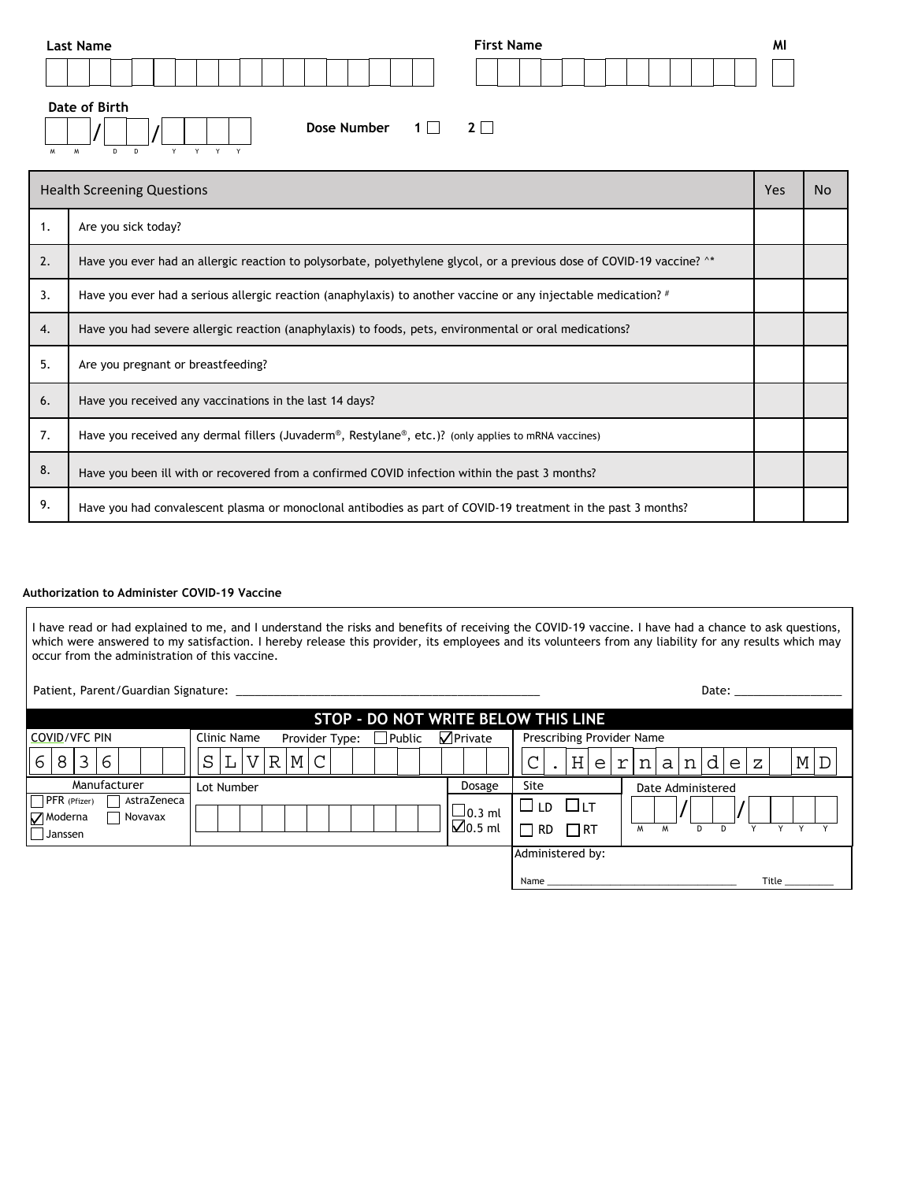| Last Name                     |                                   | <b>First Name</b> | MI |
|-------------------------------|-----------------------------------|-------------------|----|
|                               |                                   |                   |    |
| Date of Birth<br>M<br>M<br>D. | Dose Number $1 \square 2 \square$ |                   |    |

| <b>Health Screening Questions</b> |                                                                                                                        |  |  |  |  |
|-----------------------------------|------------------------------------------------------------------------------------------------------------------------|--|--|--|--|
| 1.                                | Are you sick today?                                                                                                    |  |  |  |  |
| 2.                                | Have you ever had an allergic reaction to polysorbate, polyethylene glycol, or a previous dose of COVID-19 vaccine? ^* |  |  |  |  |
| 3.                                | Have you ever had a serious allergic reaction (anaphylaxis) to another vaccine or any injectable medication? #         |  |  |  |  |
| 4.                                | Have you had severe allergic reaction (anaphylaxis) to foods, pets, environmental or oral medications?                 |  |  |  |  |
| 5.                                | Are you pregnant or breastfeeding?                                                                                     |  |  |  |  |
| 6.                                | Have you received any vaccinations in the last 14 days?                                                                |  |  |  |  |
| 7.                                | Have you received any dermal fillers (Juvaderm®, Restylane®, etc.)? (only applies to mRNA vaccines)                    |  |  |  |  |
| 8.                                | Have you been ill with or recovered from a confirmed COVID infection within the past 3 months?                         |  |  |  |  |
| 9.                                | Have you had convalescent plasma or monoclonal antibodies as part of COVID-19 treatment in the past 3 months?          |  |  |  |  |

## **Authorization to Administer COVID-19 Vaccine**

I have read or had explained to me, and I understand the risks and benefits of receiving the COVID-19 vaccine. I have had a chance to ask questions, which were answered to my satisfaction. I hereby release this provider, its employees and its volunteers from any liability for any results which may occur from the administration of this vaccine.

| Patient, Parent/Guardian Signature: |  |
|-------------------------------------|--|
|                                     |  |

Patient, Parent/Guardian Signature: \_\_\_\_\_\_\_\_\_\_\_\_\_\_\_\_\_\_\_\_\_\_\_\_\_\_\_\_\_\_\_\_\_\_\_\_\_\_\_\_\_\_\_\_\_\_\_\_ Date: \_\_\_\_\_\_\_\_\_\_\_\_\_\_\_\_\_

|                                                              | STOP - DO NOT WRITE BELOW THIS LINE            |                                       |                                                              |
|--------------------------------------------------------------|------------------------------------------------|---------------------------------------|--------------------------------------------------------------|
| <b>COVID/VFC PIN</b>                                         | Clinic Name<br>Provider Type:<br>$\Box$ Public | $\sqrt{}$ Private                     | Prescribing Provider Name                                    |
| 8<br>3<br>6<br>6                                             | $R$ $M$ $C$<br>S                               |                                       | H <br>M/D<br>đ<br>n<br>al<br>n<br>ΥI<br>e l<br>Z<br>e l      |
| Manufacturer                                                 | Lot Number                                     | Dosage                                | Site<br>Date Administered                                    |
| AstraZeneca<br>PFR (Pfizer)<br>Moderna<br>Novavax<br>Janssen |                                                | $\sqcup$ 0.3 ml<br>$\boxtimes$ 0.5 ml | ©∟D<br>$\square$ lt<br>$\Box$ RT<br>∏ RD<br>M<br>D<br>W<br>D |
|                                                              |                                                |                                       | Administered by:                                             |
|                                                              |                                                |                                       | Title<br>Name                                                |